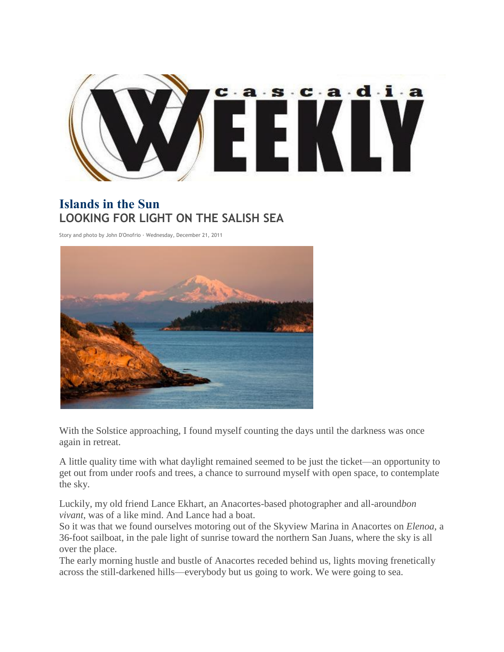

## **Islands in the Sun LOOKING FOR LIGHT ON THE SALISH SEA**

Story and photo by John D'Onofrio · Wednesday, December 21, 2011



With the Solstice approaching, I found myself counting the days until the darkness was once again in retreat.

A little quality time with what daylight remained seemed to be just the ticket—an opportunity to get out from under roofs and trees, a chance to surround myself with open space, to contemplate the sky.

Luckily, my old friend Lance Ekhart, an Anacortes-based photographer and all-around*bon vivant*, was of a like mind. And Lance had a boat.

So it was that we found ourselves motoring out of the Skyview Marina in Anacortes on *Elenoa*, a 36-foot sailboat, in the pale light of sunrise toward the northern San Juans, where the sky is all over the place.

The early morning hustle and bustle of Anacortes receded behind us, lights moving frenetically across the still-darkened hills—everybody but us going to work. We were going to sea.